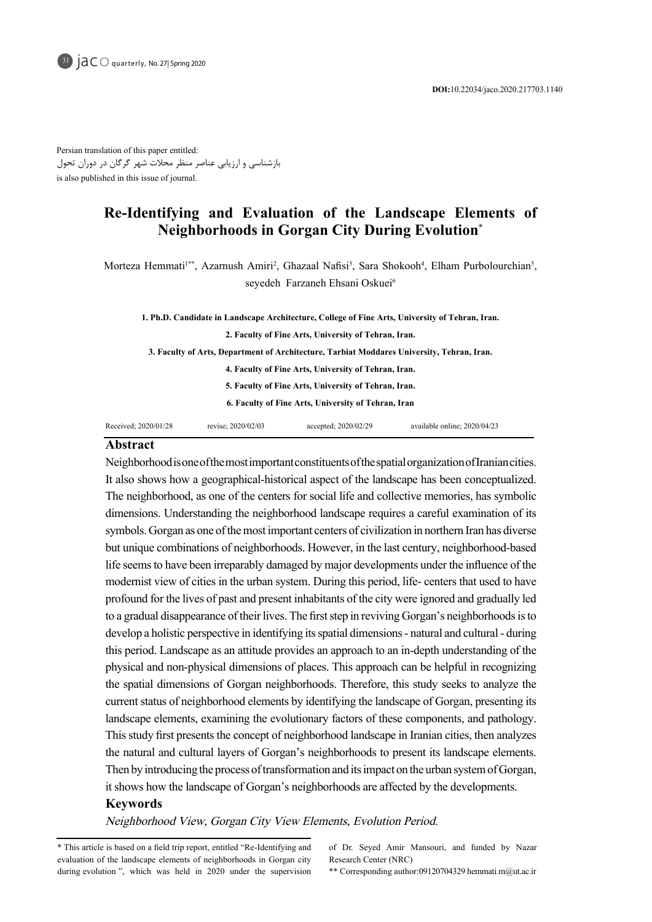Persian translation of this paper entitled: بازشناسی و ارزیابی عناصر منظر محالت شهر گرگان در دوران تحول is also published in this issue of journal.

# Re-Identifying and Evaluation of the Landscape Elements of Neighborhoods in Gorgan City During Evolution<sup>\*</sup>

Morteza Hemmati<sup>1\*\*</sup>, Azarnush Amiri<sup>2</sup>, Ghazaal Nafisi<sup>3</sup>, Sara Shokooh<sup>4</sup>, Elham Purbolourchian<sup>5</sup>, seyedeh Farzaneh Ehsani Oskuei<sup>6</sup>

1. Ph.D. Candidate in Landscape Architecture, College of Fine Arts, University of Tehran, Iran. 2. Faculty of Fine Arts, University of Tehran, Iran. 3. Faculty of Arts, Department of Architecture, Tarbiat Moddares University, Tehran, Iran. 4. Faculty of Fine Arts, University of Tehran, Iran. 5. Faculty of Fine Arts, University of Tehran, Iran. 6. Faculty of Fine Arts, University of Tehran, Iran

#### Received; 2020/01/28 revise; 2020/02/03 accepted; 2020/02/29 available online; 2020/04/23

### **Abstract**

Neighborhood is one of the most important constituents of the spatial organization of Iranian cities. It also shows how a geographical-historical aspect of the landscape has been conceptualized. The neighborhood, as one of the centers for social life and collective memories, has symbolic dimensions. Understanding the neighborhood landscape requires a careful examination of its symbols. Gorgan as one of the most important centers of civilization in northern Iran has diverse but unique combinations of neighborhoods. However, in the last century, neighborhood-based life seems to have been irreparably damaged by major developments under the influence of the modernist view of cities in the urban system. During this period, life-centers that used to have profound for the lives of past and present inhabitants of the city were ignored and gradually led to a gradual disappearance of their lives. The first step in reviving Gorgan's neighborhoods is to develop a holistic perspective in identifying its spatial dimensions - natural and cultural - during this period. Landscape as an attitude provides an approach to an in-depth understanding of the physical and non-physical dimensions of places. This approach can be helpful in recognizing the spatial dimensions of Gorgan neighborhoods. Therefore, this study seeks to analyze the current status of neighborhood elements by identifying the landscape of Gorgan, presenting its land scape elements, examining the evolutionary factors of these components, and pathology. This study first presents the concept of neighborhood landscape in Iranian cities, then analyzes the natural and cultural layers of Gorgan's neighborhoods to present its landscape elements. Then by introducing the process of transformation and its impact on the urban system of Gorgan, it shows how the landscape of Gorgan's neighborhoods are affected by the developments.

#### **Keywords**

Neighborhood View, Gorgan City View Elements, Evolution Period.

of Dr. Seyed Amir Mansouri, and funded by Nazar Research Center (NRC)

\*\* Corresponding author:09120704329 hemmati.m@ut.ac.ir

<sup>\*</sup> This article is based on a field trip report, entitled "Re-Identifying and evaluation of the landscape elements of neighborhoods in Gorgan city during evolution ", which was held in 2020 under the supervision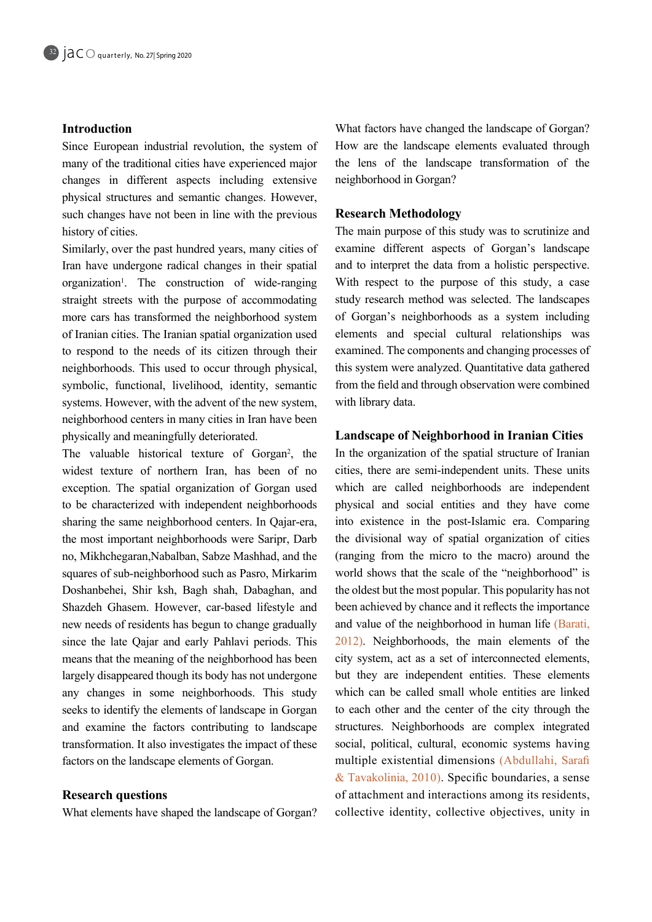## **Introduction**

Since European industrial revolution, the system of many of the traditional cities have experienced major changes in different aspects including extensive physical structures and semantic changes. However, such changes have not been in line with the previous history of cities.

Similarly, over the past hundred years, many cities of Iran have undergone radical changes in their spatial organization<sup>1</sup>. The construction of wide-ranging straight streets with the purpose of accommodating more cars has transformed the neighborhood system of Iranian cities. The Iranian spatial organization used to respond to the needs of its citizen through their neighborhoods. This used to occur through physical, symbolic, functional, livelihood, identity, semantic system s. However, with the advent of the new system, neighborhood centers in many cities in Iran have been physically and meaningfully deteriorated.

The valuable historical texture of Gorgan<sup>2</sup>, the widest texture of northern Iran, has been of no exception. The spatial organization of Gorgan used to be characterized with independent neighborhoods sharing the same neighborhood centers. In Qajar-era, the most important neighborhoods were Saripr, Darb no, Mikhchegaran,Nabalban, Sabze Mashhad, and the squares of sub-neighborhood such as Pasro, Mirkarim Doshanbehei, Shir ksh, Bagh shah, Dabaghan, and Shazdeh Ghasem. However, car-based lifestyle and new needs of residents has begun to change gradually since the late Oaiar and early Pahlavi periods. This means that the meaning of the neighborhood has been largely disappeared though its body has not undergone any changes in some neighborhoods. This study seeks to identify the elements of landscape in Gorgan and examine the factors contributing to landscape transformation. It also investigates the impact of these factors on the landscape elements of Gorgan.

## **Research questions**

What elements have shaped the landscape of Gorgan?

What factors have changed the landscape of Gorgan? How are the landscape elements evaluated through the lens of the landscape transformation of the neighborhood in Gorgan?

## **Methodology Research**

The main purpose of this study was to scrutinize and examine different aspects of Gorgan's landscape and to interpret the data from a holistic perspective. With respect to the purpose of this study, a case study research method was selected. The landscapes of Gorgan's neighborhoods as a system including elements and special cultural relationships was examined. The components and changing processes of this system were analyzed. Quantitative data gathered from the field and through observation were combined with library data.

# **Landscape of Neighborhood in Iranian Cities**

In the organization of the spatial structure of Iranian cities, there are semi-independent units. These units which are called neighborhoods are independent physical and social entities and they have come into existence in the post-Islamic era. Comparing the divisional way of spatial organization of cities  $(ranging from the micro to the macro) around the$ world shows that the scale of the "neighborhood" is the oldest but the most popular. This popularity has not been achieved by chance and it reflects the importance and value of the neighborhood in human life (Barati,  $2012$ ). Neighborhoods, the main elements of the city system, act as a set of interconnected elements, but they are independent entities. These elements which can be called small whole entities are linked to each other and the center of the city through the structures. Neighborhoods are complex integrated social, political, cultural, economic systems having multiple existential dimensions (Abdullahi, Sarafi & Tavakolinia, 2010). Specific boundaries, a sense of attachment and interactions among its residents, collective identity, collective objectives, unity in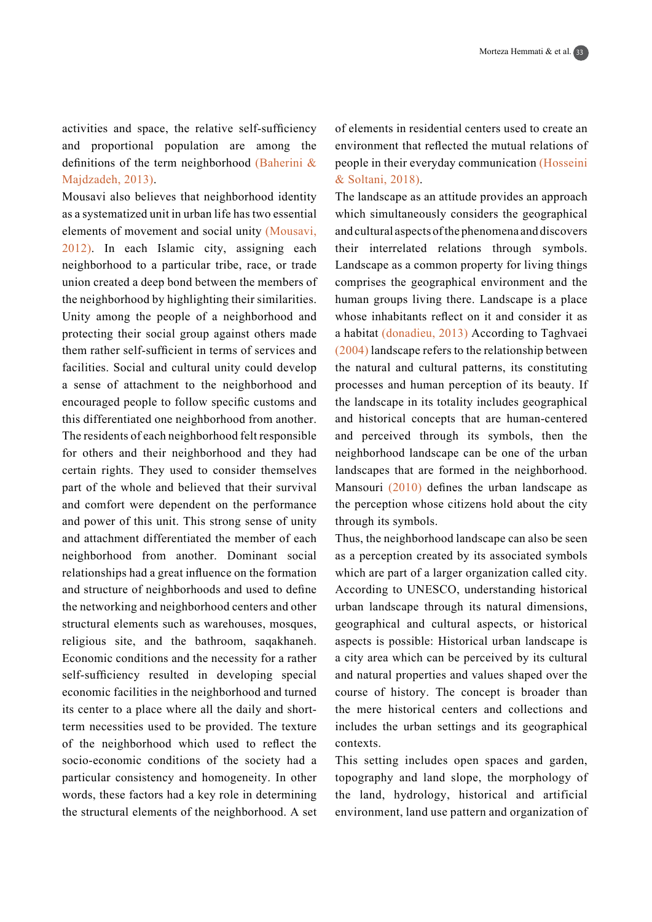activities and space, the relative self-sufficiency and proportional population are among the definitions of the term neighborhood (Baherini  $\&$ Majdzadeh, 2013).

Mousavi also believes that neighborhood identity as a systematized unit in urban life has two essential elements of movement and social unity (Mousavi,  $2012$ ). In each Islamic city, assigning each neighborhood to a particular tribe, race, or trade union created a deep bond between the members of the neighborhood by highlighting their similarities. Unity among the people of a neighborhood and protecting their social group against others made them rather self-sufficient in terms of services and facilities. Social and cultural unity could develop a sense of attachment to the neighborhood and encouraged people to follow specific customs and this differentiated one neighborhood from another. The residents of each neighborhood felt responsible for others and their neighborhood and they had certain rights. They used to consider themselves part of the whole and believed that their survival and comfort were dependent on the performance and power of this unit. This strong sense of unity and attachment differentiated the member of each neighborhood from another. Dominant social relationships had a great influence on the formation and structure of neighborhoods and used to define the networking and neighborhood centers and other structural elements such as warehouses, mosques, religious site, and the bathroom, sagakhaneh. Economic conditions and the necessity for a rather self-sufficiency resulted in developing special economic facilities in the neighborhood and turned term necessities used to be provided. The texture its center to a place where all the daily and shortof the neighborhood which used to reflect the socio-economic conditions of the society had a particular consistency and homogeneity. In other words, these factors had a key role in determining the structural elements of the neighborhood. A set of elements in residential centers used to create an environment that reflected the mutual relations of people in their everyday communication (Hosseini & Soltani, 2018).

The landscape as an attitude provides an approach which simultaneously considers the geographical and cultural aspects of the phenomena and discovers their interrelated relations through symbols. Landscape as a common property for living things comprises the geographical environment and the human groups living there. Landscape is a place whose inhabitants reflect on it and consider it as a habitat  $(d$ onadieu, 2013) According to Taghvaei  $(2004)$  landscape refers to the relationship between the natural and cultural patterns, its constituting processes and human perception of its beauty. If the landscape in its totality includes geographical and historical concepts that are human-centered and perceived through its symbols, then the neighborhood landscape can be one of the urban landscapes that are formed in the neighborhood. Mansouri  $(2010)$  defines the urban landscape as the perception whose citizens hold about the city through its symbols.

Thus, the neighborhood landscape can also be seen as a perception created by its associated symbols which are part of a larger organization called city. According to UNESCO, understanding historical urban landscape through its natural dimensions, geographical and cultural aspects, or historical aspects is possible: Historical urban landscape is a city area which can be perceived by its cultural and natural properties and values shaped over the course of history. The concept is broader than the mere historical centers and collections and includes the urban settings and its geographical .contexts

This setting includes open spaces and garden, topography and land slope, the morphology of the land, hydrology, historical and artificial environment, land use pattern and organization of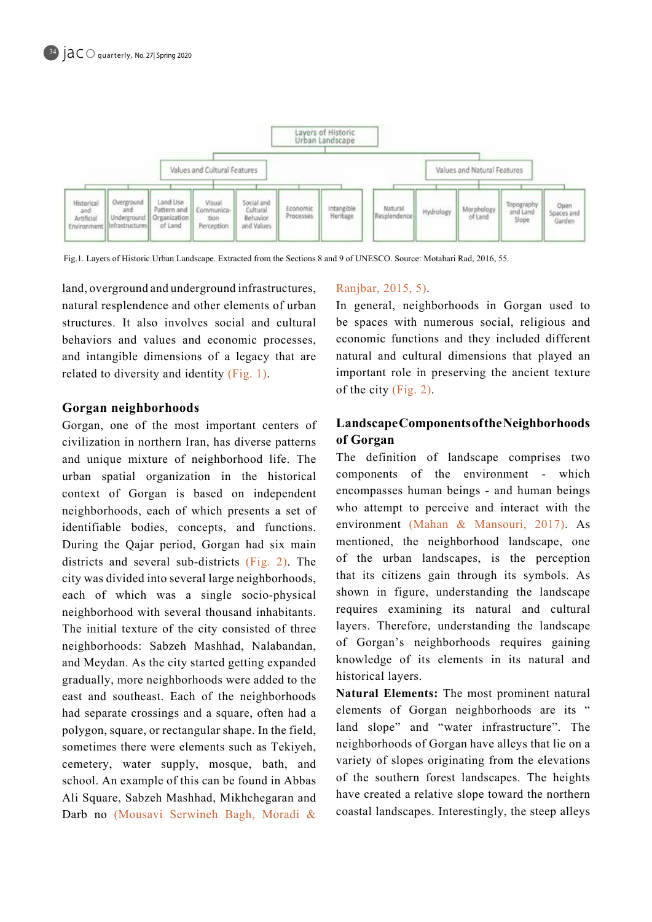

Fig.1. Layers of Historic Urban Landscape. Extracted from the Sections 8 and 9 of UNESCO. Source: Motahari Rad, 2016, 55.

land, overground and underground infrastructures, natural resplendence and other elements of urban structures. It also involves social and cultural behaviors and values and economic processes, and intangible dimensions of a legacy that are related to diversity and identity  $(Fig. 1)$ .

### **neighborhoods Gorgan**

Gorgan, one of the most important centers of civilization in northern Iran, has diverse patterns and unique mixture of neighborhood life. The urban spatial organization in the historical context of Gorgan is based on independent neighborhoods, each of which presents a set of identifiable bodies, concepts, and functions. During the Qajar period, Gorgan had six main districts and several sub-districts  $(Fig, 2)$ . The city was divided into several large neighborhoods, each of which was a single socio-physical neighborhood with several thousand inhabitants. The initial texture of the city consisted of three neighborhoods: Sabzeh Mashhad, Nalabandan, and Meydan. As the city started getting expanded gradually, more neighborhoods were added to the east and southeast. Each of the neighborhoods had separate crossings and a square, often had a polygon, square, or rectangular shape. In the field, sometimes there were elements such as Tekiyeh, cemetery, water supply, mosque, bath, and school. An example of this can be found in Abbas Ali Square, Sabzeh Mashhad, Mikhchegaran and Darb no (Mousavi Serwineh Bagh, Moradi &

### Ranjbar, 2015, 5).

In general, neighborhoods in Gorgan used to be spaces with numerous social, religious and economic functions and they included different natural and cultural dimensions that played an important role in preserving the ancient texture of the city  $(Fig. 2)$ .

# **LandscapeComponents of the Neighborhoods Gorgan of**

The definition of landscape comprises two components of the environment - which encompasses human beings - and human beings who attempt to perceive and interact with the environment (Mahan & Mansouri, 2017). As mentioned, the neighborhood landscape, one of the urban landscapes, is the perception that its citizens gain through its symbols. As shown in figure, understanding the landscape requires examining its natural and cultural layers. Therefore, understanding the landscape of Gorgan's neighborhoods requires gaining knowledge of its elements in its natural and historical layers.

Natural Elements: The most prominent natural elements of Gorgan neighborhoods are its " land slope" and "water infrastructure". The neighborhoods of Gorgan have alleys that lie on a variety of slopes originating from the elevations of the southern forest landscapes. The heights have created a relative slope toward the northern coastal landscapes. Interestingly, the steep alleys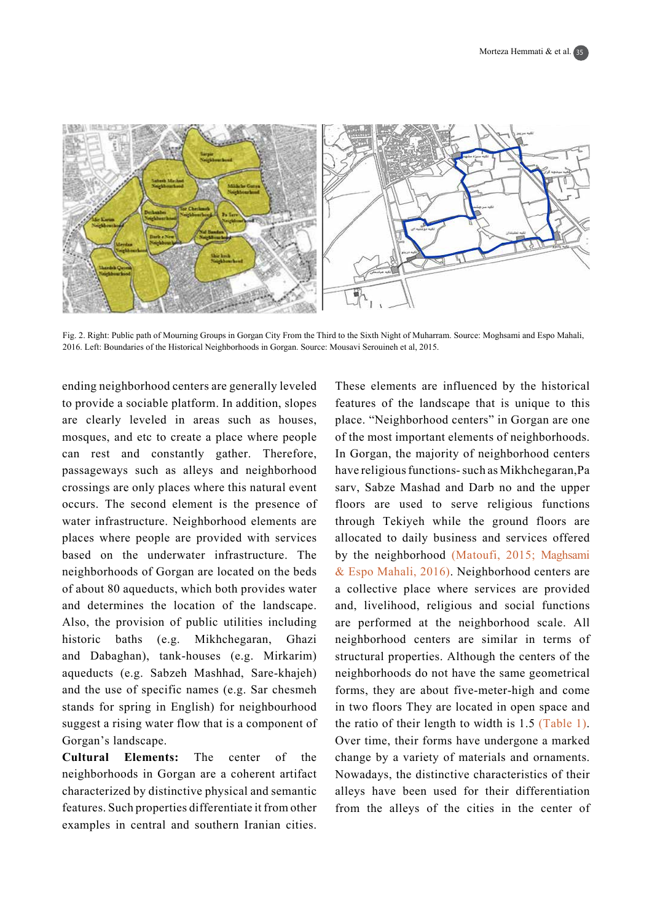

Fig. 2. Right: Public path of Mourning Groups in Gorgan City From the Third to the Sixth Night of Muharram. Source: Moghsami and Espo Mahali, 2016. Left: Boundaries of the Historical Neighborhoods in Gorgan. Source: Mousavi Serouineh et al, 2015.

ending neighborhood centers are generally leveled to provide a sociable platform. In addition, slopes are clearly leveled in areas such as houses, mosques, and etc to create a place where people can rest and constantly gather. Therefore, passageways such as alleys and neighborhood crossings are only places where this natural event occurs. The second element is the presence of water infrastructure. Neighborhood elements are places where people are provided with services based on the underwater infrastructure. The neighborhoods of Gorgan are located on the beds of about 80 aqueducts, which both provides water and determines the location of the landscape. Also, the provision of public utilities including historic baths (e.g. Mikhchegaran, Ghazi and Dabaghan), tank-houses (e.g. Mirkarim) aqueducts (e.g. Sabzeh Mashhad, Sare-khajeh) and the use of specific names (e.g. Sar chesmeh stands for spring in English) for neighbourhood suggest a rising water flow that is a component of Gorgan's landscape.

**Cultural Elements:** The center of the neighborhoods in Gorgan are a coherent artifact characterized by distinctive physical and semantic features. Such properties differentiate it from other examples in central and southern Iranian cities.

These elements are influenced by the historical features of the landscape that is unique to this place. "Neighborhood centers" in Gorgan are one of the most important elements of neighborhoods. In Gorgan, the majority of neighborhood centers have religious functions- such as Mikhchegaran, Pa sarv, Sabze Mashad and Darb no and the upper floors are used to serve religious functions through Tekiyeh while the ground floors are allocated to daily business and services offered by the neighborhood (Matoufi, 2015; Maghsami  $& Espo Mahali, 2016$ . Neighborhood centers are a collective place where services are provided and, livelihood, religious and social functions are performed at the neighborhood scale. All neighborhood centers are similar in terms of structural properties. Although the centers of the neighborhoods do not have the same geometrical forms, they are about five-meter-high and come in two floors They are located in open space and the ratio of their length to width is  $1.5$  (Table 1). Over time, their forms have undergone a marked change by a variety of materials and ornaments. Nowadays, the distinctive characteristics of their alleys have been used for their differentiation from the alleys of the cities in the center of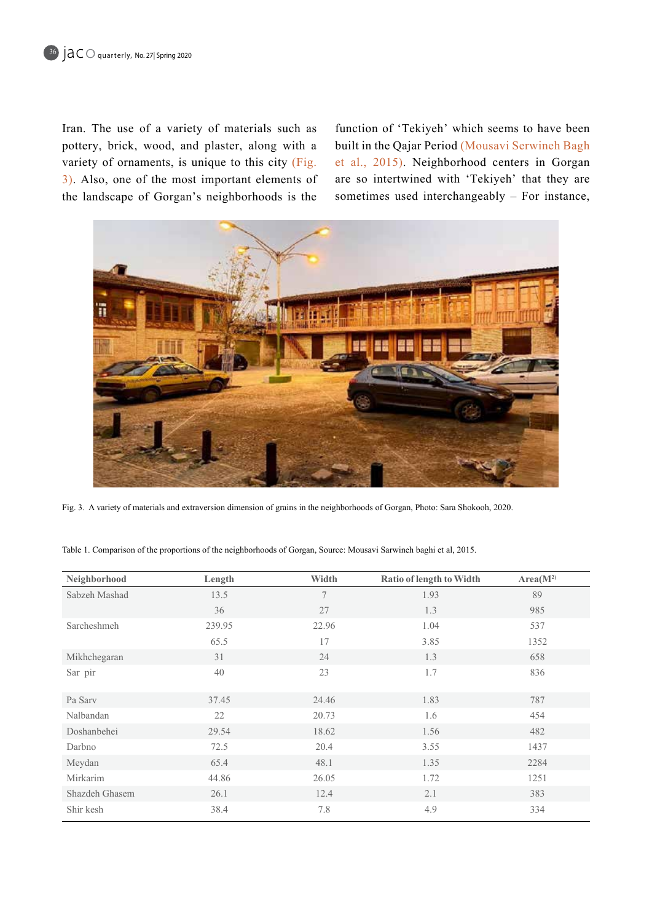Iran. The use of a variety of materials such as pottery, brick, wood, and plaster, along with a variety of ornaments, is unique to this city (Fig.  $\overline{3}$ . Also, one of the most important elements of the landscape of Gorgan's neighborhoods is the

function of 'Tekiyeh' which seems to have been built in the Qajar Period (Mousavi Serwineh Bagh et al., 2015). Neighborhood centers in Gorgan are so intertwined with 'Tekiyeh' that they are sometimes used interchangeably – For instance,



Fig. 3. A variety of materials and extraversion dimension of grains in the neighborhoods of Gorgan, Photo: Sara Shokooh, 2020.

Table 1. Comparison of the proportions of the neighborhoods of Gorgan, Source: Mousavi Sarwineh baghi et al, 2015.

| Neighborhood   | Length | Width  | <b>Ratio of length to Width</b> | Area(M <sup>2</sup> ) |
|----------------|--------|--------|---------------------------------|-----------------------|
| Sabzeh Mashad  | 13.5   | $\tau$ | 1.93                            | 89                    |
|                | 36     | 27     | 1.3                             | 985                   |
| Sarcheshmeh    | 239.95 | 22.96  | 1.04                            | 537                   |
|                | 65.5   | 17     | 3.85                            | 1352                  |
| Mikhchegaran   | 31     | 24     | 1.3                             | 658                   |
| Sar pir        | 40     | 23     | 1.7                             | 836                   |
|                |        |        |                                 |                       |
| Pa Sarv        | 37.45  | 24.46  | 1.83                            | 787                   |
| Nalbandan      | 22     | 20.73  | 1.6                             | 454                   |
| Doshanbehei    | 29.54  | 18.62  | 1.56                            | 482                   |
| Darbno         | 72.5   | 20.4   | 3.55                            | 1437                  |
| Meydan         | 65.4   | 48.1   | 1.35                            | 2284                  |
| Mirkarim       | 44.86  | 26.05  | 1.72                            | 1251                  |
| Shazdeh Ghasem | 26.1   | 12.4   | 2.1                             | 383                   |
| Shir kesh      | 38.4   | 7.8    | 4.9                             | 334                   |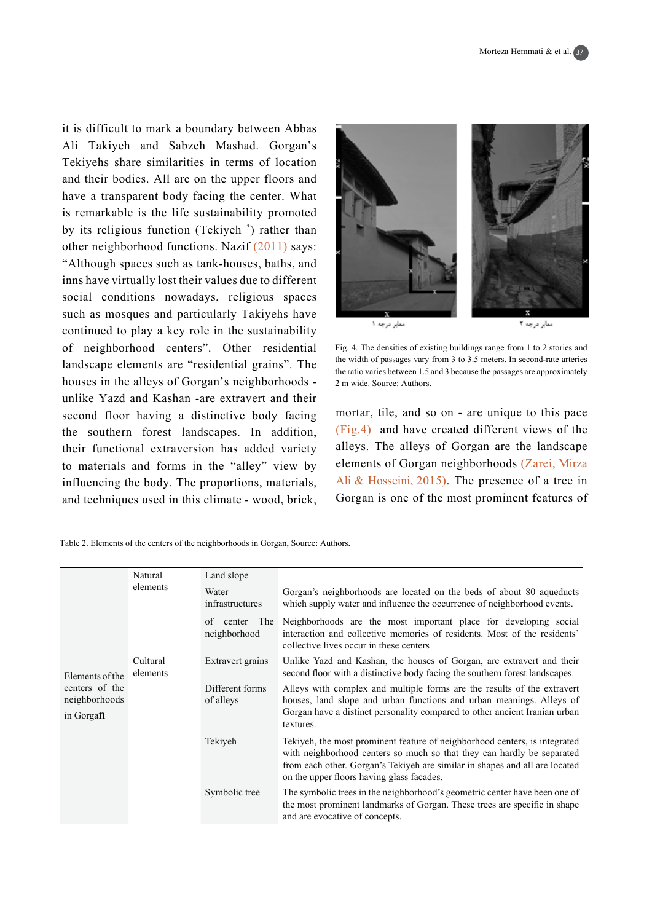it is difficult to mark a boundary between Abbas Ali Takiyeh and Sabzeh Mashad. Gorgan's Tekiyehs share similarities in terms of location and their bodies. All are on the upper floors and have a transparent body facing the center. What is remarkable is the life sustainability promoted by its religious function (Tekiyeh<sup>3</sup>) rather than other neighborhood functions. Nazif  $(2011)$  says: "Although spaces such as tank-houses, baths, and inns have virtually lost their values due to different social conditions nowadays, religious spaces such as mosques and particularly Takiyehs have continued to play a key role in the sustainability of neighborhood centers". Other residential landscape elements are "residential grains". The houses in the alleys of Gorgan's neighborhoods unlike Yazd and Kashan -are extravert and their second floor having a distinctive body facing the southern forest landscapes. In addition, their functional extraversion has added variety to materials and forms in the "alley" view by influencing the body. The proportions, materials, and techniques used in this climate - wood, brick,

| معابر درجه ۱ | معابر درجه ۲ |
|--------------|--------------|

Fig. 4. The densities of existing buildings range from 1 to 2 stories and the width of passages vary from 3 to 3.5 meters. In second-rate arteries the ratio varies between  $1.5$  and 3 because the passages are approximately 2 m wide. Source: Authors.

mortar, tile, and so on - are unique to this pace  $F$ ig.4) and have created different views of the alleys. The alleys of Gorgan are the landscape elements of Gorgan neighborhoods (Zarei, Mirza Ali & Hosseini, 2015). The presence of a tree in Gorgan is one of the most prominent features of

Table 2. Elements of the centers of the neighborhoods in Gorgan, Source: Authors.

|                                                                 | Natural              | Land slope                   |                                                                                                                                                                                                                                                                                  |
|-----------------------------------------------------------------|----------------------|------------------------------|----------------------------------------------------------------------------------------------------------------------------------------------------------------------------------------------------------------------------------------------------------------------------------|
| Elements of the<br>centers of the<br>neighborhoods<br>in Gorgan | elements             | Water<br>infrastructures     | Gorgan's neighborhoods are located on the beds of about 80 aqueducts<br>which supply water and influence the occurrence of neighborhood events.                                                                                                                                  |
|                                                                 |                      | of<br>center<br>neighborhood | The Neighborhoods are the most important place for developing social<br>interaction and collective memories of residents. Most of the residents'<br>collective lives occur in these centers                                                                                      |
|                                                                 | Cultural<br>elements | Extravert grains             | Unlike Yazd and Kashan, the houses of Gorgan, are extravert and their<br>second floor with a distinctive body facing the southern forest landscapes.                                                                                                                             |
|                                                                 |                      | Different forms<br>of alleys | Alleys with complex and multiple forms are the results of the extravert<br>houses, land slope and urban functions and urban meanings. Alleys of<br>Gorgan have a distinct personality compared to other ancient Iranian urban<br>textures.                                       |
|                                                                 |                      | Tekiyeh                      | Tekiyeh, the most prominent feature of neighborhood centers, is integrated<br>with neighborhood centers so much so that they can hardly be separated<br>from each other. Gorgan's Tekiyeh are similar in shapes and all are located<br>on the upper floors having glass facades. |
|                                                                 |                      | Symbolic tree                | The symbolic trees in the neighborhood's geometric center have been one of<br>the most prominent landmarks of Gorgan. These trees are specific in shape<br>and are evocative of concepts.                                                                                        |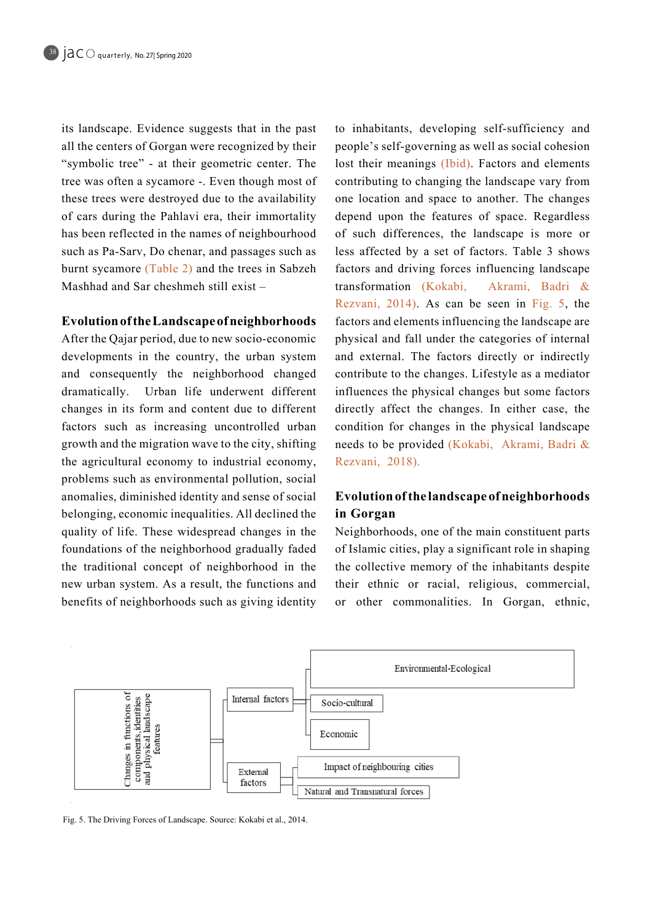its landscape. Evidence suggests that in the past all the centers of Gorgan were recognized by their "symbolic tree" - at their geometric center. The tree was often a sycamore -. Even though most of these trees were destroyed due to the availability of cars during the Pahlavi era, their immortality has been reflected in the names of neighbourhood such as Pa-Sarv, Do chenar, and passages such as burnt sycamore  $(Table 2)$  and the trees in Sabzeh Mashhad and Sar cheshmeh still exist  $-$ 

# **Evolution of the Landscape of neighborhoods**

After the Qajar period, due to new socio-economic developments in the country, the urban system and consequently the neighborhood changed dramatically. Urban life underwent different changes in its form and content due to different factors such as increasing uncontrolled urban growth and the migration wave to the city, shifting the agricultural economy to industrial economy, problems such as environmental pollution, social anomalies, diminished identity and sense of social belonging, economic inequalities. All declined the quality of life. These widespread changes in the foundations of the neighborhood gradually faded the traditional concept of neighborhood in the new urban system. As a result, the functions and benefits of neighborhoods such as giving identity to inhabitants, developing self-sufficiency and people's self-governing as well as social cohesion lost their meanings (Ibid). Factors and elements contributing to changing the landscape vary from one location and space to another. The changes depend upon the features of space. Regardless of such differences, the landscape is more or less affected by a set of factors. Table 3 shows factors and driving forces influencing landscape transformation (Kokabi, Akrami, Badri  $\&$ Rezvani,  $2014$ ). As can be seen in Fig. 5, the factors and elements influencing the landscape are physical and fall under the categories of internal and external. The factors directly or indirectly contribute to the changes. Lifestyle as a mediator influences the physical changes but some factors directly affect the changes. In either case, the condition for changes in the physical landscape needs to be provided (Kokabi, Akrami, Badri & Rezvani, 2018).

# **Evolution of the landscape of neighborhoods Gorgan in**

Neighborhoods, one of the main constituent parts of Islamic cities, play a significant role in shaping the collective memory of the inhabitants despite their ethnic or racial, religious, commercial, or other commonalities. In Gorgan, ethnic,



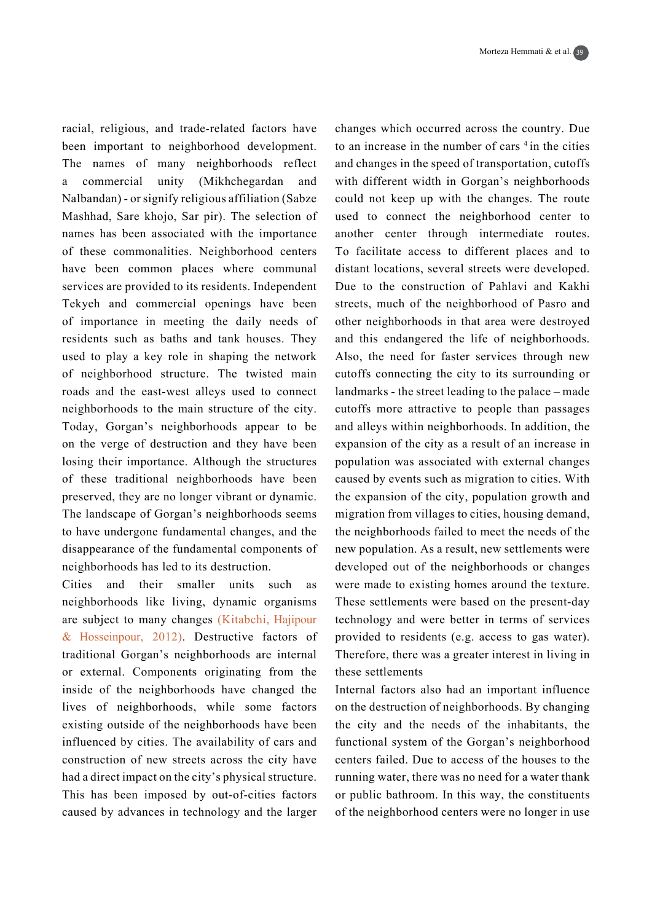racial, religious, and trade-related factors have been important to neighborhood development. The names of many neighborhoods reflect a commercial unity (Mikhchegardan and Nalbandan) - or signify religious affiliation (Sabze Mashhad, Sare khojo, Sar pir). The selection of names has been associated with the importance of these commonalities. Neighborhood centers have been common places where communal services are provided to its residents. Independent Tekyeh and commercial openings have been of importance in meeting the daily needs of residents such as baths and tank houses. They used to play a key role in shaping the network of neighborhood structure. The twisted main roads and the east-west alleys used to connect neighborhoods to the main structure of the city. Today, Gorgan's neighborhoods appear to be on the verge of destruction and they have been losing their importance. Although the structures of these traditional neighborhoods have been preserved, they are no longer vibrant or dynamic. The landscape of Gorgan's neighborhoods seems to have undergone fundamental changes, and the disappearance of the fundamental components of neighborhoods has led to its destruction.

Cities and their smaller units such as neighborhoods like living, dynamic organisms are subject to many changes (Kitabchi, Hajipour  $&$  Hosseinpour, 2012). Destructive factors of traditional Gorgan's neighborhoods are internal or external. Components originating from the inside of the neighborhoods have changed the lives of neighborhoods, while some factors existing outside of the neighborhoods have been influenced by cities. The availability of cars and construction of new streets across the city have had a direct impact on the city's physical structure. This has been imposed by out-of-cities factors caused by advances in technology and the larger changes which occurred across the country. Due to an increase in the number of cars  $4$  in the cities and changes in the speed of transportation, cutoffs with different width in Gorgan's neighborhoods could not keep up with the changes. The route used to connect the neighborhood center to another center through intermediate routes. To facilitate access to different places and to distant locations, several streets were developed. Due to the construction of Pahlavi and Kakhi streets, much of the neighborhood of Pasro and other neighborhoods in that area were destroyed and this endangered the life of neighborhoods. Also, the need for faster services through new cutoffs connecting the city to its surrounding or landmarks - the street leading to the palace  $-$  made cutoffs more attractive to people than passages and alleys within neighborhoods. In addition, the expansion of the city as a result of an increase in population was associated with external changes caused by events such as migration to cities. With the expansion of the city, population growth and migration from villages to cities, housing demand, the neighborhoods failed to meet the needs of the new population. As a result, new settlements were developed out of the neighborhoods or changes were made to existing homes around the texture. These settlements were based on the present-day technology and were better in terms of services provided to residents (e.g. access to gas water). Therefore, there was a greater interest in living in these settlements

Internal factors also had an important influence on the destruction of neighborhoods. By changing the city and the needs of the inhabitants, the functional system of the Gorgan's neighborhood centers failed. Due to access of the houses to the running water, there was no need for a water thank or public bathroom. In this way, the constituents of the neighborhood centers were no longer in use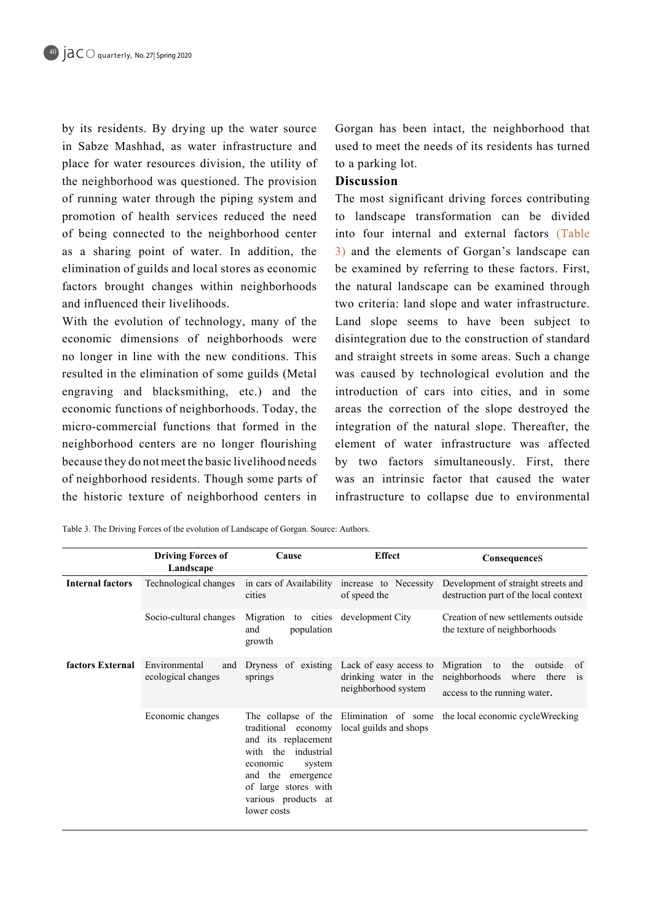by its residents. By drying up the water source in Sabze Mashhad, as water infrastructure and place for water resources division, the utility of the neighborhood was questioned. The provision of running water through the piping system and promotion of health services reduced the need of being connected to the neighborhood center as a sharing point of water. In addition, the elimination of guilds and local stores as economic factors brought changes within neighborhoods and influenced their livelihoods.

With the evolution of technology, many of the economic dimensions of neighborhoods were no longer in line with the new conditions. This resulted in the elimination of some guilds (Metal engraving and blacksmithing, etc.) and the economic functions of neighborhoods. Today, the micro-commercial functions that formed in the neighborhood centers are no longer flourishing because they do not meet the basic livelihood needs of neighborhood residents. Though some parts of the historic texture of neighborhood centers in Gorgan has been intact, the neighborhood that used to meet the needs of its residents has turned to a parking lot.

### **Discussion**

The most significant driving forces contributing to landscape transformation can be divided into four internal and external factors (Table 3) and the elements of Gorgan's landscape can be examined by referring to these factors. First, the natural landscape can be examined through two criteria: land slope and water infrastructure. Land slope seems to have been subject to disintegration due to the construction of standard and straight streets in some areas. Such a change was caused by technological evolution and the introduction of cars into cities, and in some areas the correction of the slope destroyed the integration of the natural slope. Thereafter, the element of water infrastructure was affected by two factors simultaneously. First, there was an intrinsic factor that caused the water infrastructure to collapse due to environmental

|                         | <b>Driving Forces of</b><br>Landscape      | Cause                                                                                                                                                                               | <b>Effect</b>                                                                      | ConsequenceS                                                                                                        |
|-------------------------|--------------------------------------------|-------------------------------------------------------------------------------------------------------------------------------------------------------------------------------------|------------------------------------------------------------------------------------|---------------------------------------------------------------------------------------------------------------------|
| <b>Internal factors</b> | Technological changes                      | in cars of Availability<br>cities                                                                                                                                                   | increase to Necessity<br>of speed the                                              | Development of straight streets and<br>destruction part of the local context                                        |
|                         | Socio-cultural changes                     | Migration to cities<br>population<br>and<br>growth                                                                                                                                  | development City                                                                   | Creation of new settlements outside<br>the texture of neighborhoods                                                 |
| factors External        | Environmental<br>and<br>ecological changes | Dryness<br>springs                                                                                                                                                                  | of existing Lack of easy access to<br>drinking water in the<br>neighborhood system | Migration<br>to<br>the outside<br>0f<br>neighborhoods where there<br>$\overline{1}$<br>access to the running water. |
|                         | Economic changes                           | traditional economy<br>and its replacement<br>with the<br>industrial<br>economic<br>system<br>the<br>and<br>emergence<br>of large stores with<br>various products at<br>lower costs | The collapse of the Elimination of some<br>local guilds and shops                  | the local economic cycleWrecking                                                                                    |

Table 3. The Driving Forces of the evolution of Landscape of Gorgan. Source: Authors.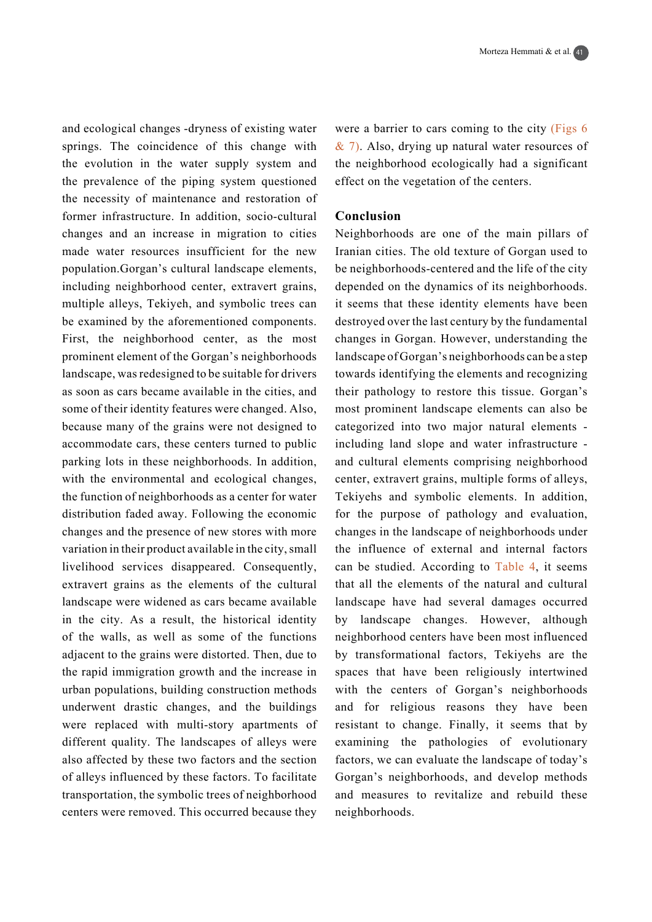and ecological changes -dryness of existing water springs. The coincidence of this change with the evolution in the water supply system and the prevalence of the piping system questioned the necessity of maintenance and restoration of former infrastructure. In addition, socio-cultural changes and an increase in migration to cities made water resources insufficient for the new population.Gorgan's cultural landscape elements, including neighborhood center, extravert grains, multiple alleys, Tekiyeh, and symbolic trees can be examined by the aforementioned components. First, the neighborhood center, as the most prominent element of the Gorgan's neighborhoods landscape, was redesigned to be suitable for drivers as soon as cars became available in the cities, and some of their identity features were changed. Also, because many of the grains were not designed to accommodate cars, these centers turned to public parking lots in these neighborhoods. In addition, with the environmental and ecological changes, the function of neighborhoods as a center for water distribution faded away. Following the economic changes and the presence of new stores with more variation in their product available in the city, small livelihood services disappeared. Consequently, extravert grains as the elements of the cultural landscape were widened as cars became available in the city. As a result, the historical identity of the walls, as well as some of the functions adjacent to the grains were distorted. Then, due to the rapid immigration growth and the increase in urban populations, building construction methods underwent drastic changes, and the buildings were replaced with multi-story apartments of different quality. The landscapes of alleys were also affected by these two factors and the section of alleys influenced by these factors. To facilitate transportation, the symbolic trees of neighborhood centers were removed. This occurred because they were a barrier to cars coming to the city  $(Figs 6)$  $\&$  7). Also, drying up natural water resources of the neighborhood ecologically had a significant effect on the vegetation of the centers.

## **Conclusion**

Neighborhoods are one of the main pillars of Iranian cities. The old texture of Gorgan used to be neighborhoods-centered and the life of the city depended on the dynamics of its neighborhoods. it seems that these identity elements have been destroyed over the last century by the fundamental changes in Gorgan. However, understanding the landscape of Gorgan's neighborhoods can be a step towards identifying the elements and recognizing their pathology to restore this tissue. Gorgan's most prominent landscape elements can also be categorized into two major natural elements including land slope and water infrastructure and cultural elements comprising neighborhood center, extravert grains, multiple forms of alleys, Tekiyehs and symbolic elements. In addition, for the purpose of pathology and evaluation, changes in the landscape of neighborhoods under the influence of external and internal factors can be studied. According to Table 4, it seems that all the elements of the natural and cultural landscape have had several damages occurred by landscape changes. However, although neighborhood centers have been most influenced by transformational factors. Tekiyehs are the spaces that have been religiously intertwined with the centers of Gorgan's neighborhoods and for religious reasons they have been resistant to change. Finally, it seems that by examining the pathologies of evolutionary factors, we can evaluate the landscape of today's Gorgan's neighborhoods, and develop methods and measures to revitalize and rebuild these neighborhoods.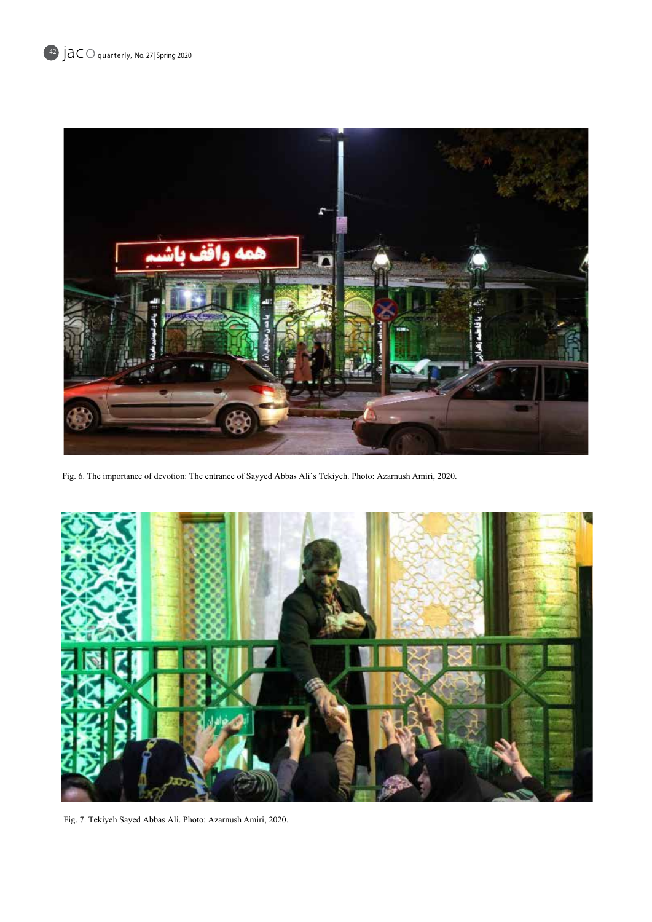

Fig. 6. The importance of devotion: The entrance of Sayyed Abbas Ali's Tekiyeh. Photo: Azarnush Amiri, 2020.



Fig. 7. Tekiyeh Sayed Abbas Ali. Photo: Azarnush Amiri, 2020.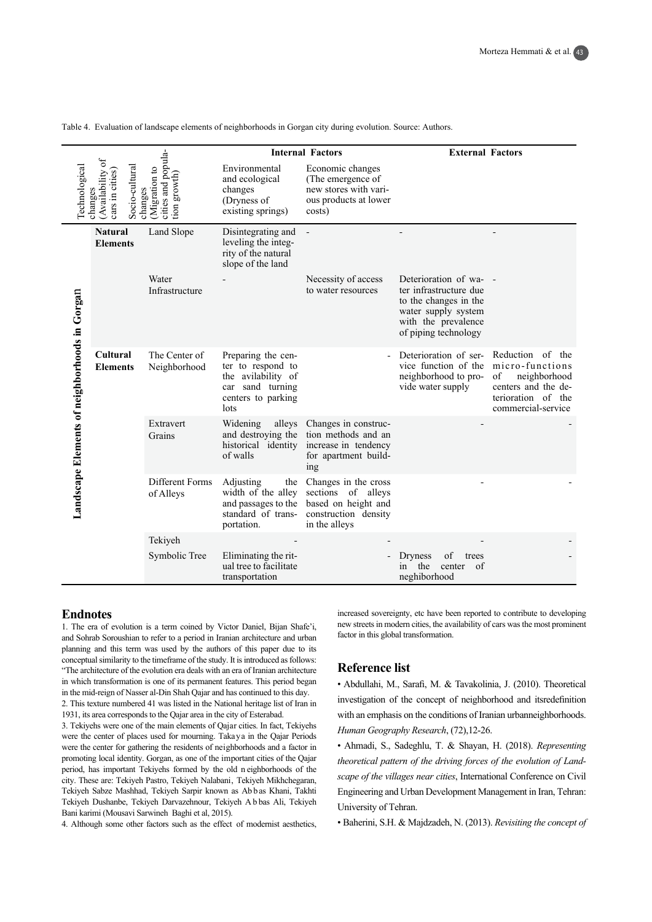|                                                                                                                                                   |                                                                        | <b>Internal Factors</b>                                                        |                                                                                                                 | <b>External Factors</b>                                                                                        |                                                                                                                                               |                                                                                                                              |
|---------------------------------------------------------------------------------------------------------------------------------------------------|------------------------------------------------------------------------|--------------------------------------------------------------------------------|-----------------------------------------------------------------------------------------------------------------|----------------------------------------------------------------------------------------------------------------|-----------------------------------------------------------------------------------------------------------------------------------------------|------------------------------------------------------------------------------------------------------------------------------|
| cities and popula-<br>Availability of<br>Socio-cultural<br>Technological<br>Migration to<br>cars in cities)<br>tion growth)<br>changes<br>changes |                                                                        | Environmental<br>and ecological<br>changes<br>(Dryness of<br>existing springs) | Economic changes<br>(The emergence of<br>new stores with vari-<br>ous products at lower<br>costs)               |                                                                                                                |                                                                                                                                               |                                                                                                                              |
| <b>Natural</b><br><b>Elements</b>                                                                                                                 |                                                                        | Land Slope                                                                     | Disintegrating and<br>leveling the integ-<br>rity of the natural<br>slope of the land                           | $\overline{a}$                                                                                                 |                                                                                                                                               |                                                                                                                              |
|                                                                                                                                                   |                                                                        | Water<br>Infrastructure                                                        |                                                                                                                 | Necessity of access<br>to water resources                                                                      | Deterioration of wa-<br>ter infrastructure due<br>to the changes in the<br>water supply system<br>with the prevalence<br>of piping technology |                                                                                                                              |
| Landscape Elements of neighborhoods in Gorgan                                                                                                     | <b>Cultural</b><br><b>Elements</b><br>Extravert<br>Grains<br>of Alleys | The Center of<br>Neighborhood                                                  | Preparing the cen-<br>ter to respond to<br>the avilability of<br>car sand turning<br>centers to parking<br>lots |                                                                                                                | Deterioration of ser-<br>vice function of the<br>neighborhood to pro-<br>vide water supply                                                    | Reduction of the<br>micro-functions<br>neighborhood<br>of<br>centers and the de-<br>terioration of the<br>commercial-service |
|                                                                                                                                                   |                                                                        |                                                                                | Widening<br>alleys<br>and destroying the<br>historical identity<br>of walls                                     | Changes in construc-<br>tion methods and an<br>increase in tendency<br>for apartment build-<br>ing             |                                                                                                                                               |                                                                                                                              |
|                                                                                                                                                   |                                                                        | Different Forms                                                                | Adjusting<br>width of the alley<br>and passages to the<br>standard of trans-<br>portation.                      | the Changes in the cross<br>sections of alleys<br>based on height and<br>construction density<br>in the alleys |                                                                                                                                               |                                                                                                                              |
|                                                                                                                                                   |                                                                        | Tekiyeh                                                                        |                                                                                                                 |                                                                                                                |                                                                                                                                               |                                                                                                                              |
|                                                                                                                                                   |                                                                        | Symbolic Tree                                                                  | Eliminating the rit-<br>ual tree to facilitate<br>transportation                                                |                                                                                                                | of<br><b>Dryness</b><br>trees<br>the<br>in<br>center<br>of<br>neghiborhood                                                                    |                                                                                                                              |

Table 4. Evaluation of landscape elements of neighborhoods in Gorgan city during evolution. Source: Authors.

#### **Endnotes**

1. The era of evolution is a term coined by Victor Daniel, Bijan Shafe'i, and Sohrab Soroushian to refer to a period in Iranian architecture and urban planning and this term was used by the authors of this paper due to its conceptual similarity to the timeframe of the study. It is introduced as follows: "The architecture of the evolution era deals with an era of Iranian architecture in which transformation is one of its permanent features. This period began in the mid-reign of Nasser al-Din Shah Qajar and has continued to this day.

2. This texture numbered 41 was listed in the National heritage list of Iran in 1931, its area corresponds to the Qajar area in the city of Esterabad.

3. Tekiyehs were one of the main elements of Qajar cities. In fact, Tekiyehs were the center of places used for mourning. Takaya in the Qajar Periods were the center for gathering the residents of neighborhoods and a factor in promoting local identity. Gorgan, as one of the important cities of the Qajar period, has important Tekiyehs formed by the old n eighborhoods of the city. These are: Tekiyeh Pastro, Tekiyeh Nalabani, Tekiyeh Mikhchegaran, Tekiyeh Sabze Mashhad, Tekiyeh Sarpir known as Abbas Khani, Takhti Tekiyeh Dushanbe, Tekiyeh Darvazehnour, Tekiyeh A b bas Ali, Tekiyeh Bani karimi (Mousavi Sarwineh Baghi et al, 2015).

4. Although some other factors such as the effect of modernist aesthetics.

increased sovereignty, etc have been reported to contribute to developing new streets in modern cities, the availability of cars was the most prominent factor in this global transformation.

### **Reference** list

• Abdullahi, M., Sarafi, M. & Tavakolinia, J. (2010). Theoretical investigation of the concept of neighborhood and itsredefinition with an emphasis on the conditions of Iranian urbanneighborhoods. Human Geography Research, (72), 12-26.

• Ahmadi, S., Sadeghlu, T. & Shayan, H. (2018). Representing scape of the villages near cities, International Conference on Civil *theoretical pattern of the driving forces of the evolution of Land-*Engineering and Urban Development Management in Iran, Tehran: University of Tehran.

• Baherini, S.H. & Majdzadeh, N. (2013). *Revisiting the concept of*